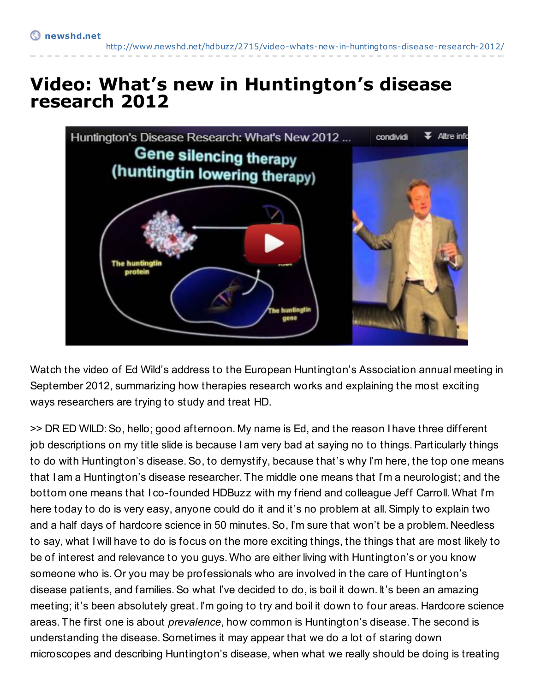<http://www.newshd.net/hdbuzz/2715/video-whats-new-in-huntingtons-disease-research-2012/>

## **Video: What's new in Huntington's disease research 2012**



Watch the video of Ed Wild's address to the European Huntington's Association annual meeting in September 2012, summarizing how therapies research works and explaining the most exciting ways researchers are trying to study and treat HD.

>> DR ED WILD:So, hello; good afternoon. My name is Ed, and the reason I have three different job descriptions on my title slide is because I am very bad at saying no to things. Particularly things to do with Huntington's disease.So, to demystify, because that's why I'm here, the top one means that I am a Huntington's disease researcher. The middle one means that I'm a neurologist; and the bottom one means that I co-founded HDBuzz with my friend and colleague Jeff Carroll. What I'm here today to do is very easy, anyone could do it and it's no problem at all.Simply to explain two and a half days of hardcore science in 50 minutes.So, I'm sure that won't be a problem. Needless to say, what I will have to do is focus on the more exciting things, the things that are most likely to be of interest and relevance to you guys. Who are either living with Huntington's or you know someone who is. Or you may be professionals who are involved in the care of Huntington's disease patients, and families.So what I've decided to do, is boil it down. It's been an amazing meeting; it's been absolutely great. I'm going to try and boil it down to four areas. Hardcore science areas. The first one is about *prevalence*, how common is Huntington's disease. The second is understanding the disease.Sometimes it may appear that we do a lot of staring down microscopes and describing Huntington's disease, when what we really should be doing is treating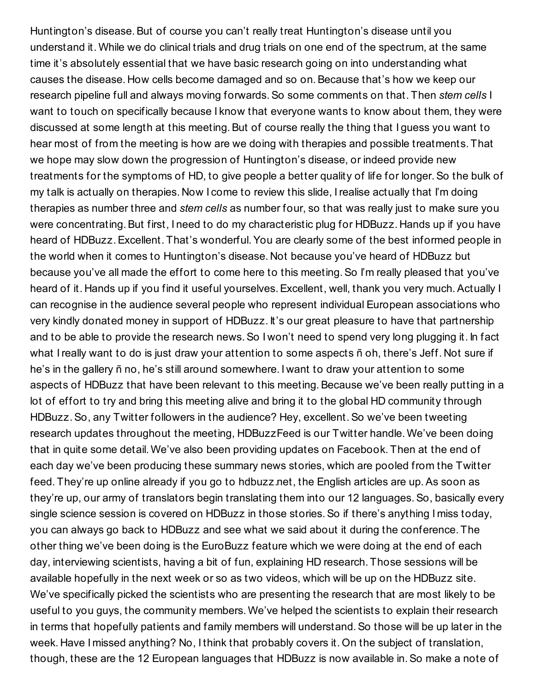Huntington's disease. But of course you can't really treat Huntington's disease until you understand it. While we do clinical trials and drug trials on one end of the spectrum, at the same time it's absolutely essential that we have basic research going on into understanding what causes the disease. How cells become damaged and so on.Because that's how we keep our research pipeline full and always moving forwards.So some comments on that. Then *stem cells* I want to touch on specifically because I know that everyone wants to know about them, they were discussed at some length at this meeting. But of course really the thing that I guess you want to hear most of from the meeting is how are we doing with therapies and possible treatments. That we hope may slow down the progression of Huntington's disease, or indeed provide new treatments for the symptoms of HD, to give people a better quality of life for longer.So the bulk of my talk is actually on therapies. Now I come to review this slide, I realise actually that I'm doing therapies as number three and *stem cells* as number four, so that was really just to make sure you were concentrating. But first, I need to do my characteristic plug for HDBuzz. Hands up if you have heard of HDBuzz. Excellent. That's wonderful. You are clearly some of the best informed people in the world when it comes to Huntington's disease. Not because you've heard of HDBuzz but because you've all made the effort to come here to this meeting. So I'm really pleased that you've heard of it. Hands up if you find it useful yourselves.Excellent, well, thank you very much.Actually I can recognise in the audience several people who represent individual European associations who very kindly donated money in support of HDBuzz. It's our great pleasure to have that partnership and to be able to provide the research news.So I won't need to spend very long plugging it. In fact what Ireally want to do is just draw your attention to some aspects ñ oh, there's Jeff. Not sure if he's in the gallery ñ no, he's still around somewhere. I want to draw your attention to some aspects of HDBuzz that have been relevant to this meeting. Because we've been really putting in a lot of effort to try and bring this meeting alive and bring it to the global HD community through HDBuzz.So, any Twitter followers in the audience? Hey, excellent.So we've been tweeting research updates throughout the meeting, HDBuzzFeed is our Twitter handle. We've been doing that in quite some detail. We've also been providing updates on Facebook. Then at the end of each day we've been producing these summary news stories, which are pooled from the Twitter feed. They're up online already if you go to hdbuzz.net, the English articles are up.As soon as they're up, our army of translators begin translating them into our 12 languages.So, basically every single science session is covered on HDBuzz in those stories. So if there's anything I miss today, you can always go back to HDBuzz and see what we said about it during the conference. The other thing we've been doing is the EuroBuzz feature which we were doing at the end of each day, interviewing scientists, having a bit of fun, explaining HD research. Those sessions will be available hopefully in the next week or so as two videos, which will be up on the HDBuzz site. We've specifically picked the scientists who are presenting the research that are most likely to be useful to you guys, the community members. We've helped the scientists to explain their research in terms that hopefully patients and family members will understand.So those will be up later in the week. Have I missed anything? No, I think that probably covers it. On the subject of translation, though, these are the 12 European languages that HDBuzz is now available in. So make a note of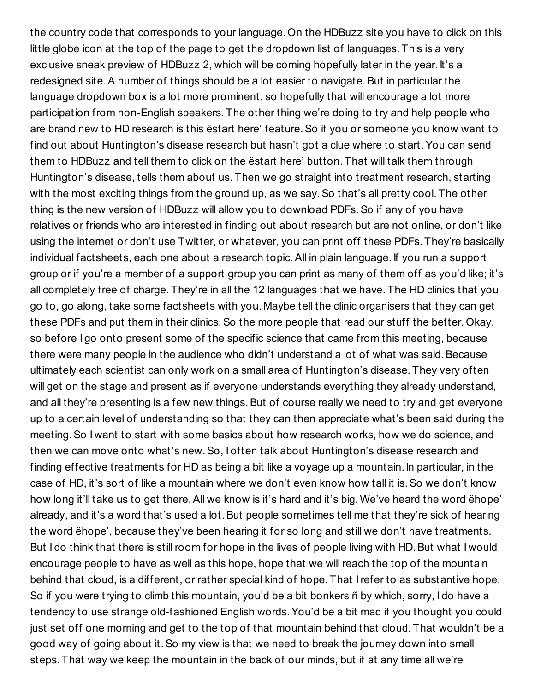the country code that corresponds to your language. On the HDBuzz site you have to click on this little globe icon at the top of the page to get the dropdown list of languages. This is a very exclusive sneak preview of HDBuzz 2, which will be coming hopefully later in the year. It's a redesigned site. A number of things should be a lot easier to navigate. But in particular the language dropdown box is a lot more prominent, so hopefully that will encourage a lot more participation from non-English speakers. The other thing we're doing to try and help people who are brand new to HD research is this ëstart here' feature.So if you or someone you know want to find out about Huntington's disease research but hasn't got a clue where to start.You can send them to HDBuzz and tell them to click on the ëstart here' button. That will talk them through Huntington's disease, tells them about us. Then we go straight into treatment research, starting with the most exciting things from the ground up, as we say. So that's all pretty cool. The other thing is the new version of HDBuzz will allow you to download PDFs.So if any of you have relatives or friends who are interested in finding out about research but are not online, or don't like using the internet or don't use Twitter, or whatever, you can print off these PDFs. They're basically individual factsheets, each one about a research topic.All in plain language. If you run a support group or if you're a member of a support group you can print as many of them off as you'd like; it's all completely free of charge. They're in all the 12 languages that we have. The HD clinics that you go to, go along, take some factsheets with you. Maybe tell the clinic organisers that they can get these PDFs and put them in their clinics.So the more people that read our stuff the better. Okay, so before I go onto present some of the specific science that came from this meeting, because there were many people in the audience who didn't understand a lot of what was said. Because ultimately each scientist can only work on a small area of Huntington's disease. They very often will get on the stage and present as if everyone understands everything they already understand, and all they're presenting is a few new things. But of course really we need to try and get everyone up to a certain level of understanding so that they can then appreciate what's been said during the meeting.So I want to start with some basics about how research works, how we do science, and then we can move onto what's new.So, I often talk about Huntington's disease research and finding effective treatments for HD as being a bit like a voyage up a mountain. In particular, in the case of HD, it's sort of like a mountain where we don't even know how tall it is.So we don't know how long it'll take us to get there.All we know is it's hard and it's big. We've heard the word ëhope' already, and it's a word that's used a lot. But people sometimes tell me that they're sick of hearing the word ëhope', because they've been hearing it for so long and still we don't have treatments. But I do think that there is still room for hope in the lives of people living with HD.But what I would encourage people to have as well as this hope, hope that we will reach the top of the mountain behind that cloud, is a different, or rather special kind of hope. That Irefer to as substantive hope. So if you were trying to climb this mountain, you'd be a bit bonkers ñ by which, sorry, I do have a tendency to use strange old-fashioned English words.You'd be a bit mad if you thought you could just set off one morning and get to the top of that mountain behind that cloud. That wouldn't be a good way of going about it.So my view is that we need to break the journey down into small steps. That way we keep the mountain in the back of our minds, but if at any time all we're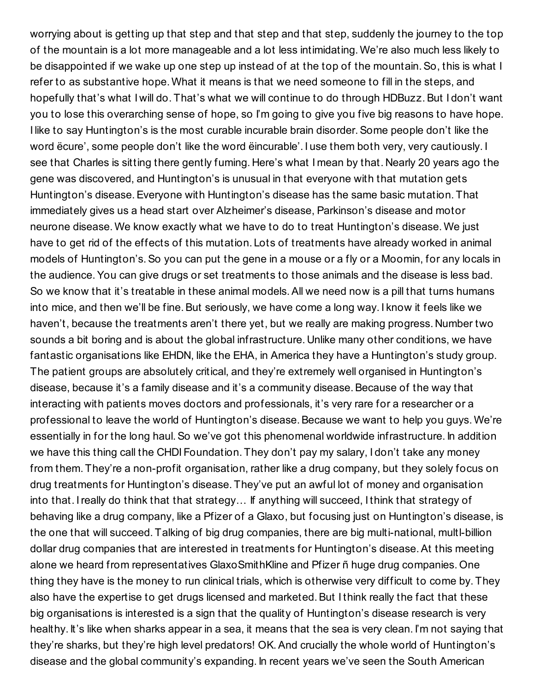worrying about is getting up that step and that step and that step, suddenly the journey to the top of the mountain is a lot more manageable and a lot less intimidating. We're also much less likely to be disappointed if we wake up one step up instead of at the top of the mountain. So, this is what I refer to as substantive hope. What it means is that we need someone to fill in the steps, and hopefully that's what I will do. That's what we will continue to do through HDBuzz. But I don't want you to lose this overarching sense of hope, so I'm going to give you five big reasons to have hope. I like to say Huntington's is the most curable incurable brain disorder. Some people don't like the word ëcure', some people don't like the word ëincurable'. I use them both very, very cautiously. I see that Charles is sitting there gently fuming. Here's what I mean by that. Nearly 20 years ago the gene was discovered, and Huntington's is unusual in that everyone with that mutation gets Huntington's disease.Everyone with Huntington's disease has the same basic mutation. That immediately gives us a head start over Alzheimer's disease, Parkinson's disease and motor neurone disease. We know exactly what we have to do to treat Huntington's disease. We just have to get rid of the effects of this mutation. Lots of treatments have already worked in animal models of Huntington's.So you can put the gene in a mouse or a fly or a Moomin, for any locals in the audience.You can give drugs or set treatments to those animals and the disease is less bad. So we know that it's treatable in these animal models.All we need now is a pill that turns humans into mice, and then we'll be fine. But seriously, we have come a long way. I know it feels like we haven't, because the treatments aren't there yet, but we really are making progress. Number two sounds a bit boring and is about the global infrastructure. Unlike many other conditions, we have fantastic organisations like EHDN, like the EHA, in America they have a Huntington's study group. The patient groups are absolutely critical, and they're extremely well organised in Huntington's disease, because it's a family disease and it's a community disease.Because of the way that interacting with patients moves doctors and professionals, it's very rare for a researcher or a professional to leave the world of Huntington's disease.Because we want to help you guys. We're essentially in for the long haul.So we've got this phenomenal worldwide infrastructure. In addition we have this thing call the CHDI Foundation. They don't pay my salary, I don't take any money from them. They're a non-profit organisation, rather like a drug company, but they solely focus on drug treatments for Huntington's disease. They've put an awful lot of money and organisation into that. I really do think that that strategy... If anything will succeed, I think that strategy of behaving like a drug company, like a Pfizer of a Glaxo, but focusing just on Huntington's disease, is the one that will succeed. Talking of big drug companies, there are big multi-national, multl-billion dollar drug companies that are interested in treatments for Huntington's disease.At this meeting alone we heard from representatives GlaxoSmithKline and Pfizer ñ huge drug companies. One thing they have is the money to run clinical trials, which is otherwise very difficult to come by. They also have the expertise to get drugs licensed and marketed.But I think really the fact that these big organisations is interested is a sign that the quality of Huntington's disease research is very healthy. It's like when sharks appear in a sea, it means that the sea is very clean. I'm not saying that they're sharks, but they're high level predators! OK.And crucially the whole world of Huntington's disease and the global community's expanding. In recent years we've seen the South American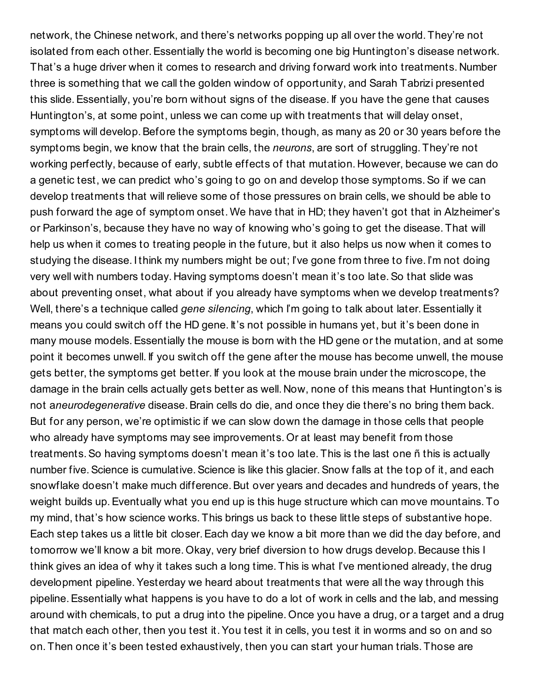network, the Chinese network, and there's networks popping up all over the world. They're not isolated from each other.Essentially the world is becoming one big Huntington's disease network. That's a huge driver when it comes to research and driving forward work into treatments. Number three is something that we call the golden window of opportunity, and Sarah Tabrizi presented this slide.Essentially, you're born without signs of the disease. If you have the gene that causes Huntington's, at some point, unless we can come up with treatments that will delay onset, symptoms will develop. Before the symptoms begin, though, as many as 20 or 30 years before the symptoms begin, we know that the brain cells, the *neurons*, are sort of struggling. They're not working perfectly, because of early, subtle effects of that mutation. However, because we can do a genetic test, we can predict who's going to go on and develop those symptoms.So if we can develop treatments that will relieve some of those pressures on brain cells, we should be able to push forward the age of symptom onset. We have that in HD; they haven't got that in Alzheimer's or Parkinson's, because they have no way of knowing who's going to get the disease. That will help us when it comes to treating people in the future, but it also helps us now when it comes to studying the disease. I think my numbers might be out; I've gone from three to five. I'm not doing very well with numbers today. Having symptoms doesn't mean it's too late.So that slide was about preventing onset, what about if you already have symptoms when we develop treatments? Well, there's a technique called *gene silencing*, which I'm going to talk about later.Essentially it means you could switch off the HD gene. It's not possible in humans yet, but it's been done in many mouse models.Essentially the mouse is born with the HD gene or the mutation, and at some point it becomes unwell. If you switch off the gene after the mouse has become unwell, the mouse gets better, the symptoms get better. If you look at the mouse brain under the microscope, the damage in the brain cells actually gets better as well. Now, none of this means that Huntington's is not a*neurodegenerative* disease.Brain cells do die, and once they die there's no bring them back. But for any person, we're optimistic if we can slow down the damage in those cells that people who already have symptoms may see improvements. Or at least may benefit from those treatments.So having symptoms doesn't mean it's too late. This is the last one ñ this is actually number five. Science is cumulative. Science is like this glacier. Snow falls at the top of it, and each snowflake doesn't make much difference. But over years and decades and hundreds of years, the weight builds up.Eventually what you end up is this huge structure which can move mountains. To my mind, that's how science works. This brings us back to these little steps of substantive hope. Each step takes us a little bit closer. Each day we know a bit more than we did the day before, and tomorrow we'll know a bit more. Okay, very brief diversion to how drugs develop.Because this I think gives an idea of why it takes such a long time. This is what I've mentioned already, the drug development pipeline.Yesterday we heard about treatments that were all the way through this pipeline.Essentially what happens is you have to do a lot of work in cells and the lab, and messing around with chemicals, to put a drug into the pipeline. Once you have a drug, or a target and a drug that match each other, then you test it.You test it in cells, you test it in worms and so on and so on. Then once it's been tested exhaustively, then you can start your human trials. Those are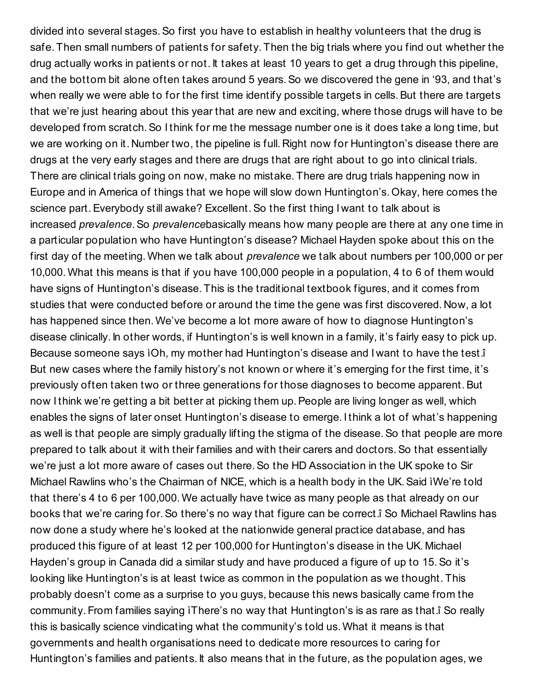divided into several stages.So first you have to establish in healthy volunteers that the drug is safe. Then small numbers of patients for safety. Then the big trials where you find out whether the drug actually works in patients or not. It takes at least 10 years to get a drug through this pipeline, and the bottom bit alone often takes around 5 years.So we discovered the gene in '93, and that's when really we were able to for the first time identify possible targets in cells. But there are targets that we're just hearing about this year that are new and exciting, where those drugs will have to be developed from scratch.So I think for me the message number one is it does take a long time, but we are working on it. Number two, the pipeline is full. Right now for Huntington's disease there are drugs at the very early stages and there are drugs that are right about to go into clinical trials. There are clinical trials going on now, make no mistake. There are drug trials happening now in Europe and in America of things that we hope will slow down Huntington's. Okay, here comes the science part. Everybody still awake? Excellent. So the first thing I want to talk about is increased *prevalence*.So *prevalence*basically means how many people are there at any one time in a particular population who have Huntington's disease? Michael Hayden spoke about this on the first day of the meeting. When we talk about *prevalence* we talk about numbers per 100,000 or per 10,000. What this means is that if you have 100,000 people in a population, 4 to 6 of them would have signs of Huntington's disease. This is the traditional textbook figures, and it comes from studies that were conducted before or around the time the gene was first discovered. Now, a lot has happened since then. We've become a lot more aware of how to diagnose Huntington's disease clinically. In other words, if Huntington's is well known in a family, it's fairly easy to pick up. Because someone says ìOh, my mother had Huntington's disease and I want to have the test.î But new cases where the family history's not known or where it's emerging for the first time, it's previously often taken two or three generations for those diagnoses to become apparent.But now I think we're getting a bit better at picking them up. People are living longer as well, which enables the signs of later onset Huntington's disease to emerge. I think a lot of what's happening as well is that people are simply gradually lifting the stigma of the disease. So that people are more prepared to talk about it with their families and with their carers and doctors.So that essentially we're just a lot more aware of cases out there.So the HD Association in the UK spoke to Sir Michael Rawlins who's the Chairman of NICE, which is a health body in the UK.Said ìWe're told that there's 4 to 6 per 100,000. We actually have twice as many people as that already on our books that we're caring for.So there's no way that figure can be correct.î So Michael Rawlins has now done a study where he's looked at the nationwide general practice database, and has produced this figure of at least 12 per 100,000 for Huntington's disease in the UK. Michael Hayden's group in Canada did a similar study and have produced a figure of up to 15.So it's looking like Huntington's is at least twice as common in the population as we thought. This probably doesn't come as a surprise to you guys, because this news basically came from the community. From families saying ìThere's no way that Huntington's is as rare as that.î So really this is basically science vindicating what the community's told us. What it means is that governments and health organisations need to dedicate more resources to caring for Huntington's families and patients. It also means that in the future, as the population ages, we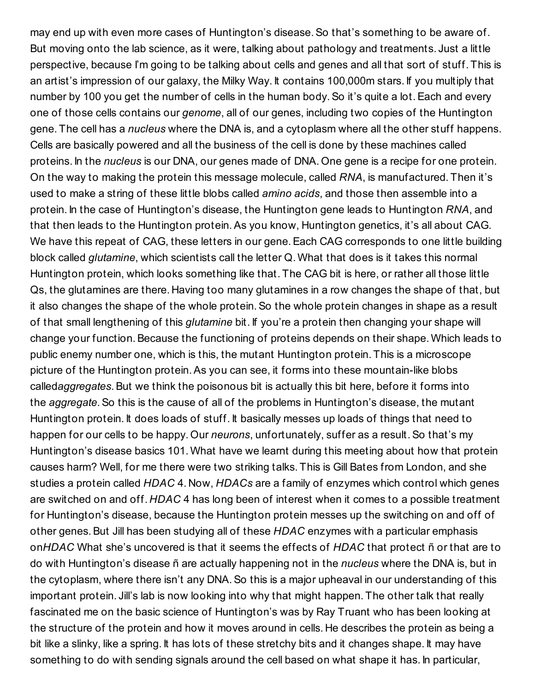may end up with even more cases of Huntington's disease. So that's something to be aware of. But moving onto the lab science, as it were, talking about pathology and treatments. Just a little perspective, because I'm going to be talking about cells and genes and all that sort of stuff. This is an artist's impression of our galaxy, the Milky Way. It contains 100,000m stars. If you multiply that number by 100 you get the number of cells in the human body.So it's quite a lot.Each and every one of those cells contains our *genome*, all of our genes, including two copies of the Huntington gene. The cell has a *nucleus* where the DNA is, and a cytoplasm where all the other stuff happens. Cells are basically powered and all the business of the cell is done by these machines called proteins. In the *nucleus* is our DNA, our genes made of DNA. One gene is a recipe for one protein. On the way to making the protein this message molecule, called *RNA*, is manufactured. Then it's used to make a string of these little blobs called *amino acids*, and those then assemble into a protein. In the case of Huntington's disease, the Huntington gene leads to Huntington *RNA*, and that then leads to the Huntington protein.As you know, Huntington genetics, it's all about CAG. We have this repeat of CAG, these letters in our gene. Each CAG corresponds to one little building block called *glutamine*, which scientists call the letter Q. What that does is it takes this normal Huntington protein, which looks something like that. The CAG bit is here, or rather all those little Qs, the glutamines are there. Having too many glutamines in a row changes the shape of that, but it also changes the shape of the whole protein.So the whole protein changes in shape as a result of that small lengthening of this *glutamine* bit. If you're a protein then changing your shape will change your function.Because the functioning of proteins depends on their shape. Which leads to public enemy number one, which is this, the mutant Huntington protein. This is a microscope picture of the Huntington protein.As you can see, it forms into these mountain-like blobs called*aggregates*.But we think the poisonous bit is actually this bit here, before it forms into the *aggregate*.So this is the cause of all of the problems in Huntington's disease, the mutant Huntington protein. It does loads of stuff. It basically messes up loads of things that need to happen for our cells to be happy. Our *neurons*, unfortunately, suffer as a result.So that's my Huntington's disease basics 101. What have we learnt during this meeting about how that protein causes harm? Well, for me there were two striking talks. This is Gill Bates from London, and she studies a protein called *HDAC* 4. Now, *HDACs* are a family of enzymes which control which genes are switched on and off. *HDAC* 4 has long been of interest when it comes to a possible treatment for Huntington's disease, because the Huntington protein messes up the switching on and off of other genes.But Jill has been studying all of these *HDAC* enzymes with a particular emphasis on*HDAC* What she's uncovered is that it seems the effects of *HDAC* that protect ñ or that are to do with Huntington's disease ñ are actually happening not in the *nucleus* where the DNA is, but in the cytoplasm, where there isn't any DNA.So this is a major upheaval in our understanding of this important protein. Jill's lab is now looking into why that might happen. The other talk that really fascinated me on the basic science of Huntington's was by Ray Truant who has been looking at the structure of the protein and how it moves around in cells. He describes the protein as being a bit like a slinky, like a spring. It has lots of these stretchy bits and it changes shape. It may have something to do with sending signals around the cell based on what shape it has. In particular,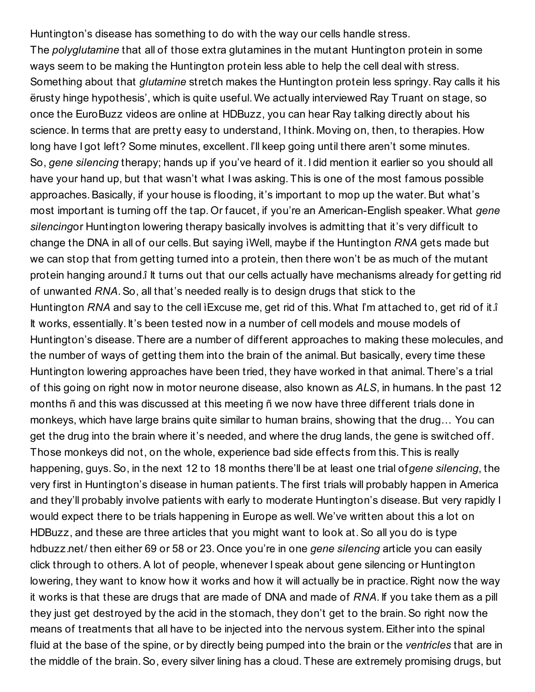Huntington's disease has something to do with the way our cells handle stress. The *polyglutamine* that all of those extra glutamines in the mutant Huntington protein in some ways seem to be making the Huntington protein less able to help the cell deal with stress. Something about that *glutamine* stretch makes the Huntington protein less springy. Ray calls it his ërusty hinge hypothesis', which is quite useful. We actually interviewed Ray Truant on stage, so once the EuroBuzz videos are online at HDBuzz, you can hear Ray talking directly about his science. In terms that are pretty easy to understand, I think. Moving on, then, to therapies. How long have I got left? Some minutes, excellent. I'll keep going until there aren't some minutes. So, *gene silencing* therapy; hands up if you've heard of it. I did mention it earlier so you should all have your hand up, but that wasn't what I was asking. This is one of the most famous possible approaches. Basically, if your house is flooding, it's important to mop up the water. But what's most important is turning off the tap. Or faucet, if you're an American-English speaker. What *gene silencing*or Huntington lowering therapy basically involves is admitting that it's very difficult to change the DNA in all of our cells. But saying iWell, maybe if the Huntington *RNA* gets made but we can stop that from getting turned into a protein, then there won't be as much of the mutant protein hanging around.î It turns out that our cells actually have mechanisms already for getting rid of unwanted *RNA*.So, all that's needed really is to design drugs that stick to the Huntington *RNA* and say to the cell ìExcuse me, get rid of this. What I'm attached to, get rid of it.î It works, essentially. It's been tested now in a number of cell models and mouse models of Huntington's disease. There are a number of different approaches to making these molecules, and the number of ways of getting them into the brain of the animal. But basically, every time these Huntington lowering approaches have been tried, they have worked in that animal. There's a trial of this going on right now in motor neurone disease, also known as *ALS*, in humans. In the past 12 months ñ and this was discussed at this meeting ñ we now have three different trials done in monkeys, which have large brains quite similar to human brains, showing that the drug… You can get the drug into the brain where it's needed, and where the drug lands, the gene is switched off. Those monkeys did not, on the whole, experience bad side effects from this. This is really happening, guys.So, in the next 12 to 18 months there'll be at least one trial of*gene silencing*, the very first in Huntington's disease in human patients. The first trials will probably happen in America and they'll probably involve patients with early to moderate Huntington's disease.But very rapidly I would expect there to be trials happening in Europe as well. We've written about this a lot on HDBuzz, and these are three articles that you might want to look at.So all you do is type hdbuzz.net/ then either 69 or 58 or 23. Once you're in one *gene silencing* article you can easily click through to others.A lot of people, whenever I speak about gene silencing or Huntington lowering, they want to know how it works and how it will actually be in practice. Right now the way it works is that these are drugs that are made of DNA and made of *RNA*. If you take them as a pill they just get destroyed by the acid in the stomach, they don't get to the brain. So right now the means of treatments that all have to be injected into the nervous system.Either into the spinal fluid at the base of the spine, or by directly being pumped into the brain or the *ventricles* that are in the middle of the brain.So, every silver lining has a cloud. These are extremely promising drugs, but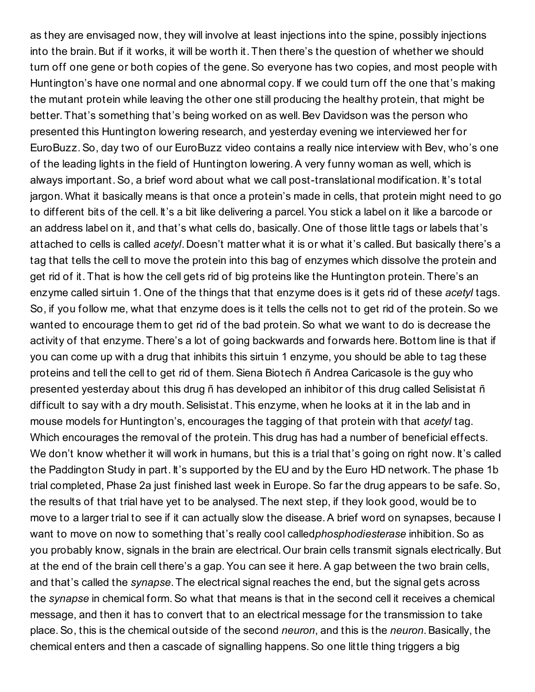as they are envisaged now, they will involve at least injections into the spine, possibly injections into the brain.But if it works, it will be worth it. Then there's the question of whether we should turn off one gene or both copies of the gene. So everyone has two copies, and most people with Huntington's have one normal and one abnormal copy. If we could turn off the one that's making the mutant protein while leaving the other one still producing the healthy protein, that might be better. That's something that's being worked on as well. Bev Davidson was the person who presented this Huntington lowering research, and yesterday evening we interviewed her for EuroBuzz.So, day two of our EuroBuzz video contains a really nice interview with Bev, who's one of the leading lights in the field of Huntington lowering.A very funny woman as well, which is always important.So, a brief word about what we call post-translational modification. It's total jargon. What it basically means is that once a protein's made in cells, that protein might need to go to different bits of the cell. It's a bit like delivering a parcel.You stick a label on it like a barcode or an address label on it, and that's what cells do, basically. One of those little tags or labels that's attached to cells is called *acetyl*. Doesn't matter what it is or what it's called.But basically there's a tag that tells the cell to move the protein into this bag of enzymes which dissolve the protein and get rid of it. That is how the cell gets rid of big proteins like the Huntington protein. There's an enzyme called sirtuin 1. One of the things that that enzyme does is it gets rid of these *acetyl* tags. So, if you follow me, what that enzyme does is it tells the cells not to get rid of the protein. So we wanted to encourage them to get rid of the bad protein. So what we want to do is decrease the activity of that enzyme. There's a lot of going backwards and forwards here. Bottom line is that if you can come up with a drug that inhibits this sirtuin 1 enzyme, you should be able to tag these proteins and tell the cell to get rid of them. Siena Biotech ñ Andrea Caricasole is the guy who presented yesterday about this drug ñ has developed an inhibitor of this drug called Selisistat ñ difficult to say with a dry mouth. Selisistat. This enzyme, when he looks at it in the lab and in mouse models for Huntington's, encourages the tagging of that protein with that *acetyl* tag. Which encourages the removal of the protein. This drug has had a number of beneficial effects. We don't know whether it will work in humans, but this is a trial that's going on right now. It's called the Paddington Study in part. It's supported by the EU and by the Euro HD network. The phase 1b trial completed, Phase 2a just finished last week in Europe.So far the drug appears to be safe.So, the results of that trial have yet to be analysed. The next step, if they look good, would be to move to a larger trial to see if it can actually slow the disease. A brief word on synapses, because I want to move on now to something that's really cool called*phosphodiesterase* inhibition.So as you probably know, signals in the brain are electrical. Our brain cells transmit signals electrically.But at the end of the brain cell there's a gap.You can see it here.A gap between the two brain cells, and that's called the *synapse*. The electrical signal reaches the end, but the signal gets across the *synapse* in chemical form.So what that means is that in the second cell it receives a chemical message, and then it has to convert that to an electrical message for the transmission to take place.So, this is the chemical outside of the second *neuron*, and this is the *neuron*.Basically, the chemical enters and then a cascade of signalling happens.So one little thing triggers a big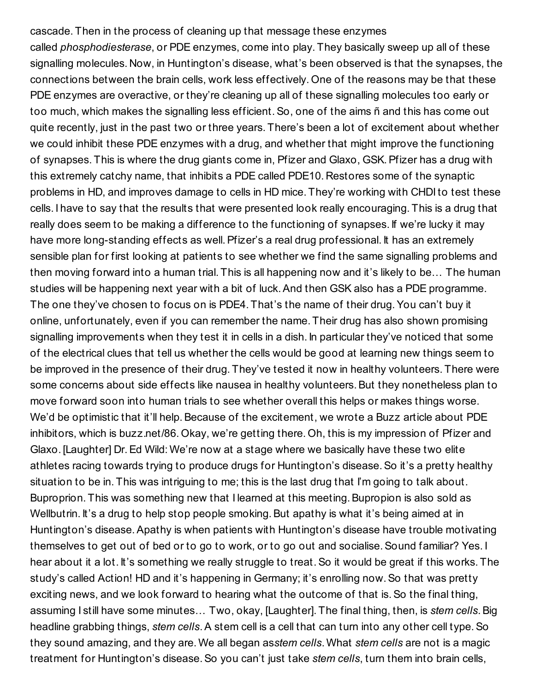cascade. Then in the process of cleaning up that message these enzymes called *phosphodiesterase*, or PDE enzymes, come into play. They basically sweep up all of these signalling molecules. Now, in Huntington's disease, what's been observed is that the synapses, the connections between the brain cells, work less effectively. One of the reasons may be that these PDE enzymes are overactive, or they're cleaning up all of these signalling molecules too early or too much, which makes the signalling less efficient.So, one of the aims ñ and this has come out quite recently, just in the past two or three years. There's been a lot of excitement about whether we could inhibit these PDE enzymes with a drug, and whether that might improve the functioning of synapses. This is where the drug giants come in, Pfizer and Glaxo, GSK.Pfizer has a drug with this extremely catchy name, that inhibits a PDE called PDE10. Restores some of the synaptic problems in HD, and improves damage to cells in HD mice. They're working with CHDI to test these cells. I have to say that the results that were presented look really encouraging. This is a drug that really does seem to be making a difference to the functioning of synapses. If we're lucky it may have more long-standing effects as well. Pfizer's a real drug professional. It has an extremely sensible plan for first looking at patients to see whether we find the same signalling problems and then moving forward into a human trial. This is all happening now and it's likely to be… The human studies will be happening next year with a bit of luck. And then GSK also has a PDE programme. The one they've chosen to focus on is PDE4. That's the name of their drug.You can't buy it online, unfortunately, even if you can remember the name. Their drug has also shown promising signalling improvements when they test it in cells in a dish. In particular they've noticed that some of the electrical clues that tell us whether the cells would be good at learning new things seem to be improved in the presence of their drug. They've tested it now in healthy volunteers. There were some concerns about side effects like nausea in healthy volunteers. But they nonetheless plan to move forward soon into human trials to see whether overall this helps or makes things worse. We'd be optimistic that it'll help. Because of the excitement, we wrote a Buzz article about PDE inhibitors, which is buzz.net/86. Okay, we're getting there. Oh, this is my impression of Pfizer and Glaxo. [Laughter] Dr.Ed Wild: We're now at a stage where we basically have these two elite athletes racing towards trying to produce drugs for Huntington's disease. So it's a pretty healthy situation to be in. This was intriguing to me; this is the last drug that I'm going to talk about. Buproprion. This was something new that I learned at this meeting. Bupropion is also sold as Wellbutrin. It's a drug to help stop people smoking. But apathy is what it's being aimed at in Huntington's disease.Apathy is when patients with Huntington's disease have trouble motivating themselves to get out of bed or to go to work, or to go out and socialise.Sound familiar? Yes. I hear about it a lot. It's something we really struggle to treat.So it would be great if this works. The study's called Action! HD and it's happening in Germany; it's enrolling now.So that was pretty exciting news, and we look forward to hearing what the outcome of that is. So the final thing, assuming I still have some minutes… Two, okay, [Laughter]. The final thing, then, is *stem cells*.Big headline grabbing things, *stem cells*.A stem cell is a cell that can turn into any other cell type.So they sound amazing, and they are. We all began as*stem cells*. What *stem cells* are not is a magic treatment for Huntington's disease.So you can't just take *stem cells*, turn them into brain cells,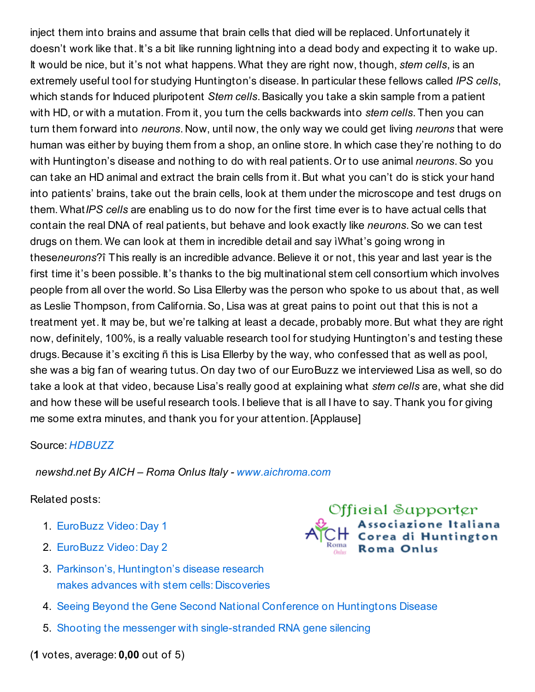inject them into brains and assume that brain cells that died will be replaced. Unfortunately it doesn't work like that. It's a bit like running lightning into a dead body and expecting it to wake up. It would be nice, but it's not what happens. What they are right now, though, *stem cells*, is an extremely useful tool for studying Huntington's disease. In particular these fellows called *IPS cells*, which stands for Induced pluripotent *Stem cells*. Basically you take a skin sample from a patient with HD, or with a mutation. From it, you turn the cells backwards into *stem cells*. Then you can turn them forward into *neurons*. Now, until now, the only way we could get living *neurons* that were human was either by buying them from a shop, an online store. In which case they're nothing to do with Huntington's disease and nothing to do with real patients. Or to use animal *neurons*.So you can take an HD animal and extract the brain cells from it. But what you can't do is stick your hand into patients' brains, take out the brain cells, look at them under the microscope and test drugs on them. What*IPS cells* are enabling us to do now for the first time ever is to have actual cells that contain the real DNA of real patients, but behave and look exactly like *neurons*.So we can test drugs on them. We can look at them in incredible detail and say ìWhat's going wrong in these*neurons*?î This really is an incredible advance.Believe it or not, this year and last year is the first time it's been possible. It's thanks to the big multinational stem cell consortium which involves people from all over the world.So Lisa Ellerby was the person who spoke to us about that, as well as Leslie Thompson, from California.So, Lisa was at great pains to point out that this is not a treatment yet. It may be, but we're talking at least a decade, probably more.But what they are right now, definitely, 100%, is a really valuable research tool for studying Huntington's and testing these drugs.Because it's exciting ñ this is Lisa Ellerby by the way, who confessed that as well as pool, she was a big fan of wearing tutus. On day two of our EuroBuzz we interviewed Lisa as well, so do take a look at that video, because Lisa's really good at explaining what *stem cells* are, what she did and how these will be useful research tools. I believe that is all I have to say. Thank you for giving me some extra minutes, and thank you for your attention. [Applause]

## Source: *[HDBUZZ](http://en.hdbuzz.net/)*

*newshd.net By AICH – Roma Onlus Italy - [www.aichroma.com](http://www.aichroma.com/)*

## Related posts:

- 1. [EuroBuzz](http://www.newshd.net/hdbuzz/2482/eurobuzz-video-day-1/) Video: Day 1
- 2. [EuroBuzz](http://www.newshd.net/hdbuzz/2495/eurobuzz-video-day-2/) Video: Day 2
- 3. Parkinson's, [Huntington's](http://www.newshd.net/journals/2093/parkinsons-huntingtons-disease-research-makes-advances-with-stem-cells-discoveries/) disease research makes advances with stem cells: Discoveries
- 
- 4. Seeing Beyond the Gene Second National Conference on [Huntingtons](http://www.newshd.net/articles/734/seeing-beyond-the-gene-second-national-conference-on-huntingtons-disease/) Disease
- 5. Shooting the messenger with [single-stranded](http://www.newshd.net/hdbuzz/2515/shooting-the-messenger-with-single-stranded-rna-gene-silencing/) RNA gene silencing

(**1** votes, average: **0,00** out of 5)